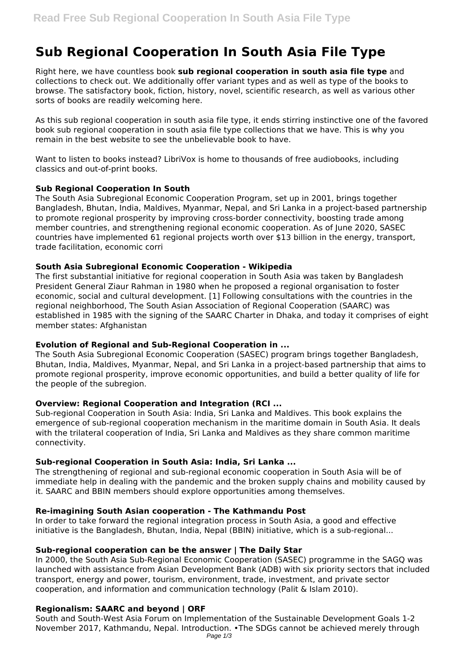# **Sub Regional Cooperation In South Asia File Type**

Right here, we have countless book **sub regional cooperation in south asia file type** and collections to check out. We additionally offer variant types and as well as type of the books to browse. The satisfactory book, fiction, history, novel, scientific research, as well as various other sorts of books are readily welcoming here.

As this sub regional cooperation in south asia file type, it ends stirring instinctive one of the favored book sub regional cooperation in south asia file type collections that we have. This is why you remain in the best website to see the unbelievable book to have.

Want to listen to books instead? LibriVox is home to thousands of free audiobooks, including classics and out-of-print books.

#### **Sub Regional Cooperation In South**

The South Asia Subregional Economic Cooperation Program, set up in 2001, brings together Bangladesh, Bhutan, India, Maldives, Myanmar, Nepal, and Sri Lanka in a project-based partnership to promote regional prosperity by improving cross-border connectivity, boosting trade among member countries, and strengthening regional economic cooperation. As of June 2020, SASEC countries have implemented 61 regional projects worth over \$13 billion in the energy, transport, trade facilitation, economic corri

#### **South Asia Subregional Economic Cooperation - Wikipedia**

The first substantial initiative for regional cooperation in South Asia was taken by Bangladesh President General Ziaur Rahman in 1980 when he proposed a regional organisation to foster economic, social and cultural development. [1] Following consultations with the countries in the regional neighborhood, The South Asian Association of Regional Cooperation (SAARC) was established in 1985 with the signing of the SAARC Charter in Dhaka, and today it comprises of eight member states: Afghanistan

## **Evolution of Regional and Sub-Regional Cooperation in ...**

The South Asia Subregional Economic Cooperation (SASEC) program brings together Bangladesh, Bhutan, India, Maldives, Myanmar, Nepal, and Sri Lanka in a project-based partnership that aims to promote regional prosperity, improve economic opportunities, and build a better quality of life for the people of the subregion.

## **Overview: Regional Cooperation and Integration (RCI ...**

Sub-regional Cooperation in South Asia: India, Sri Lanka and Maldives. This book explains the emergence of sub-regional cooperation mechanism in the maritime domain in South Asia. It deals with the trilateral cooperation of India, Sri Lanka and Maldives as they share common maritime connectivity.

## **Sub-regional Cooperation in South Asia: India, Sri Lanka ...**

The strengthening of regional and sub-regional economic cooperation in South Asia will be of immediate help in dealing with the pandemic and the broken supply chains and mobility caused by it. SAARC and BBIN members should explore opportunities among themselves.

## **Re-imagining South Asian cooperation - The Kathmandu Post**

In order to take forward the regional integration process in South Asia, a good and effective initiative is the Bangladesh, Bhutan, India, Nepal (BBIN) initiative, which is a sub-regional...

#### **Sub-regional cooperation can be the answer | The Daily Star**

In 2000, the South Asia Sub-Regional Economic Cooperation (SASEC) programme in the SAGQ was launched with assistance from Asian Development Bank (ADB) with six priority sectors that included transport, energy and power, tourism, environment, trade, investment, and private sector cooperation, and information and communication technology (Palit & Islam 2010).

## **Regionalism: SAARC and beyond | ORF**

South and South-West Asia Forum on Implementation of the Sustainable Development Goals 1-2 November 2017, Kathmandu, Nepal. Introduction. •The SDGs cannot be achieved merely through Page 1/3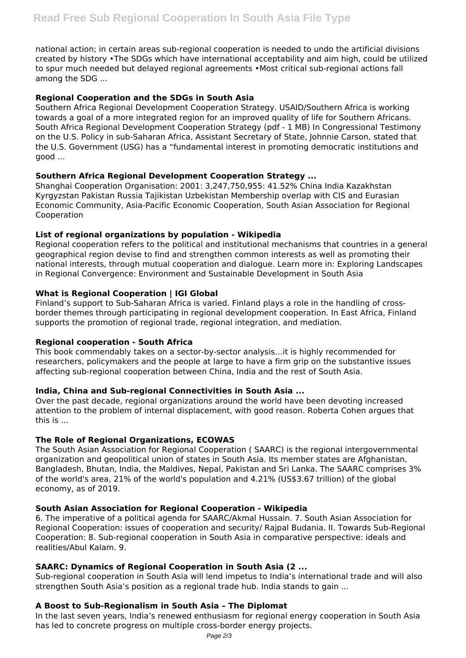national action; in certain areas sub-regional cooperation is needed to undo the artificial divisions created by history •The SDGs which have international acceptability and aim high, could be utilized to spur much needed but delayed regional agreements •Most critical sub-regional actions fall among the SDG ...

## **Regional Cooperation and the SDGs in South Asia**

Southern Africa Regional Development Cooperation Strategy. USAID/Southern Africa is working towards a goal of a more integrated region for an improved quality of life for Southern Africans. South Africa Regional Development Cooperation Strategy (pdf - 1 MB) In Congressional Testimony on the U.S. Policy in sub-Saharan Africa, Assistant Secretary of State, Johnnie Carson, stated that the U.S. Government (USG) has a "fundamental interest in promoting democratic institutions and good ...

## **Southern Africa Regional Development Cooperation Strategy ...**

Shanghai Cooperation Organisation: 2001: 3,247,750,955: 41.52% China India Kazakhstan Kyrgyzstan Pakistan Russia Tajikistan Uzbekistan Membership overlap with CIS and Eurasian Economic Community, Asia-Pacific Economic Cooperation, South Asian Association for Regional Cooperation

## **List of regional organizations by population - Wikipedia**

Regional cooperation refers to the political and institutional mechanisms that countries in a general geographical region devise to find and strengthen common interests as well as promoting their national interests, through mutual cooperation and dialogue. Learn more in: Exploring Landscapes in Regional Convergence: Environment and Sustainable Development in South Asia

## **What is Regional Cooperation | IGI Global**

Finland's support to Sub-Saharan Africa is varied. Finland plays a role in the handling of crossborder themes through participating in regional development cooperation. In East Africa, Finland supports the promotion of regional trade, regional integration, and mediation.

## **Regional cooperation - South Africa**

This book commendably takes on a sector-by-sector analysis…it is highly recommended for researchers, policymakers and the people at large to have a firm grip on the substantive issues affecting sub-regional cooperation between China, India and the rest of South Asia.

## **India, China and Sub-regional Connectivities in South Asia ...**

Over the past decade, regional organizations around the world have been devoting increased attention to the problem of internal displacement, with good reason. Roberta Cohen argues that this is ...

## **The Role of Regional Organizations, ECOWAS**

The South Asian Association for Regional Cooperation ( SAARC) is the regional intergovernmental organization and geopolitical union of states in South Asia. Its member states are Afghanistan, Bangladesh, Bhutan, India, the Maldives, Nepal, Pakistan and Sri Lanka. The SAARC comprises 3% of the world's area, 21% of the world's population and 4.21% (US\$3.67 trillion) of the global economy, as of 2019.

## **South Asian Association for Regional Cooperation - Wikipedia**

6. The imperative of a political agenda for SAARC/Akmal Hussain. 7. South Asian Association for Regional Cooperation: issues of cooperation and security/ Rajpal Budania. II. Towards Sub-Regional Cooperation: 8. Sub-regional cooperation in South Asia in comparative perspective: ideals and realities/Abul Kalam. 9.

## **SAARC: Dynamics of Regional Cooperation in South Asia (2 ...**

Sub-regional cooperation in South Asia will lend impetus to India's international trade and will also strengthen South Asia's position as a regional trade hub. India stands to gain ...

## **A Boost to Sub-Regionalism in South Asia – The Diplomat**

In the last seven years, India's renewed enthusiasm for regional energy cooperation in South Asia has led to concrete progress on multiple cross-border energy projects.